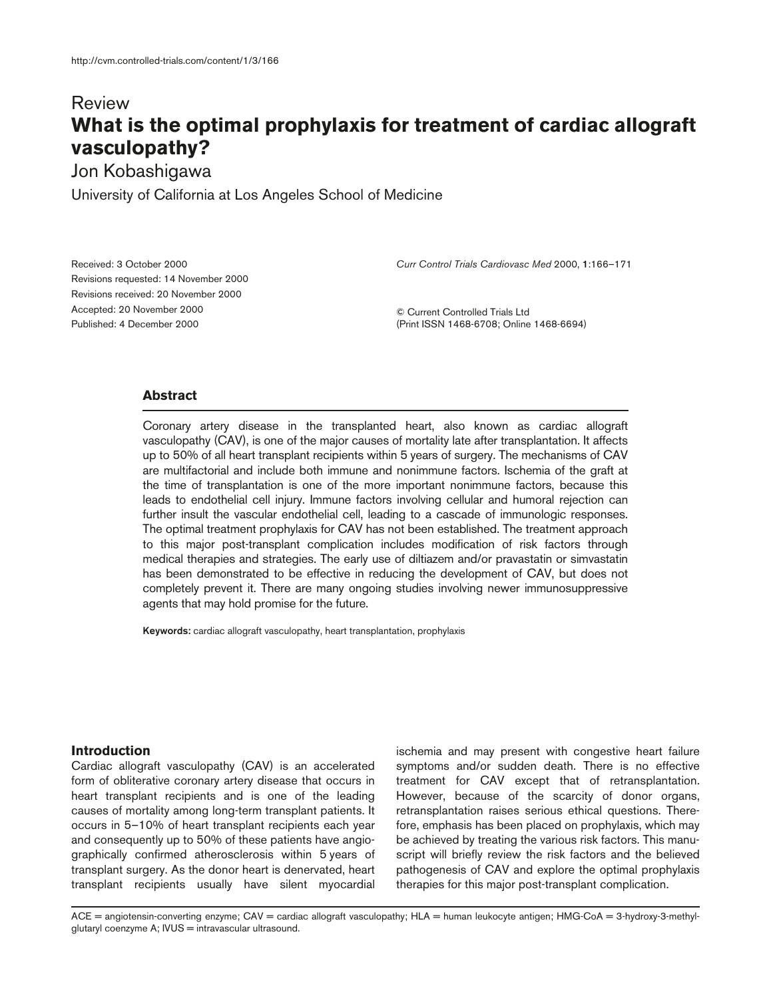# Review **What is the optimal prophylaxis for treatment of cardiac allograft vasculopathy?**

Jon Kobashigawa

University of California at Los Angeles School of Medicine

Received: 3 October 2000 Revisions requested: 14 November 2000 Revisions received: 20 November 2000 Accepted: 20 November 2000 Published: 4 December 2000

*Curr Control Trials Cardiovasc Med* 2000, **1**:166–171

© Current Controlled Trials Ltd (Print ISSN 1468-6708; Online 1468-6694)

# **Abstract**

Coronary artery disease in the transplanted heart, also known as cardiac allograft vasculopathy (CAV), is one of the major causes of mortality late after transplantation. It affects up to 50% of all heart transplant recipients within 5 years of surgery. The mechanisms of CAV are multifactorial and include both immune and nonimmune factors. Ischemia of the graft at the time of transplantation is one of the more important nonimmune factors, because this leads to endothelial cell injury. Immune factors involving cellular and humoral rejection can further insult the vascular endothelial cell, leading to a cascade of immunologic responses. The optimal treatment prophylaxis for CAV has not been established. The treatment approach to this major post-transplant complication includes modification of risk factors through medical therapies and strategies. The early use of diltiazem and/or pravastatin or simvastatin has been demonstrated to be effective in reducing the development of CAV, but does not completely prevent it. There are many ongoing studies involving newer immunosuppressive agents that may hold promise for the future.

**Keywords:** cardiac allograft vasculopathy, heart transplantation, prophylaxis

# **Introduction**

Cardiac allograft vasculopathy (CAV) is an accelerated form of obliterative coronary artery disease that occurs in heart transplant recipients and is one of the leading causes of mortality among long-term transplant patients. It occurs in 5–10% of heart transplant recipients each year and consequently up to 50% of these patients have angiographically confirmed atherosclerosis within 5 years of transplant surgery. As the donor heart is denervated, heart transplant recipients usually have silent myocardial

ischemia and may present with congestive heart failure symptoms and/or sudden death. There is no effective treatment for CAV except that of retransplantation. However, because of the scarcity of donor organs, retransplantation raises serious ethical questions. Therefore, emphasis has been placed on prophylaxis, which may be achieved by treating the various risk factors. This manuscript will briefly review the risk factors and the believed pathogenesis of CAV and explore the optimal prophylaxis therapies for this major post-transplant complication.

ACE = angiotensin-converting enzyme; CAV = cardiac allograft vasculopathy; HLA = human leukocyte antigen; HMG-CoA = 3-hydroxy-3-methylglutaryl coenzyme A; IVUS = intravascular ultrasound.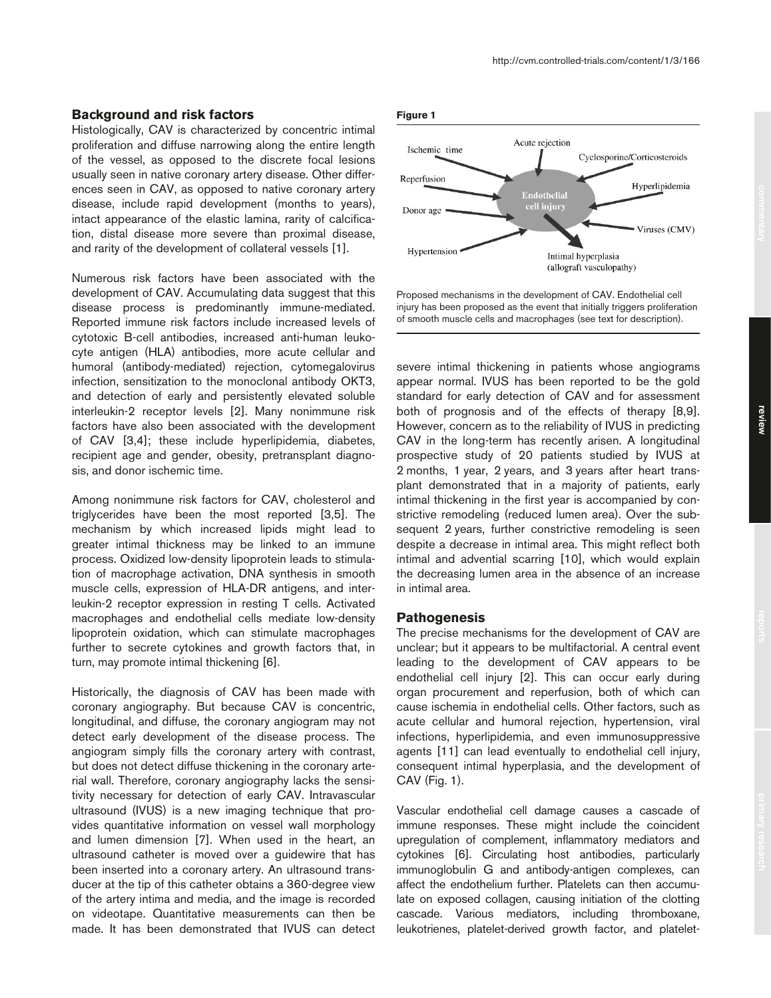## **Background and risk factors**

Histologically, CAV is characterized by concentric intimal proliferation and diffuse narrowing along the entire length of the vessel, as opposed to the discrete focal lesions usually seen in native coronary artery disease. Other differences seen in CAV, as opposed to native coronary artery disease, include rapid development (months to years), intact appearance of the elastic lamina, rarity of calcification, distal disease more severe than proximal disease, and rarity of the development of collateral vessels [1].

Numerous risk factors have been associated with the development of CAV. Accumulating data suggest that this disease process is predominantly immune-mediated. Reported immune risk factors include increased levels of cytotoxic B-cell antibodies, increased anti-human leukocyte antigen (HLA) antibodies, more acute cellular and humoral (antibody-mediated) rejection, cytomegalovirus infection, sensitization to the monoclonal antibody OKT3, and detection of early and persistently elevated soluble interleukin-2 receptor levels [2]. Many nonimmune risk factors have also been associated with the development of CAV [3,4]; these include hyperlipidemia, diabetes, recipient age and gender, obesity, pretransplant diagnosis, and donor ischemic time.

Among nonimmune risk factors for CAV, cholesterol and triglycerides have been the most reported [3,5]. The mechanism by which increased lipids might lead to greater intimal thickness may be linked to an immune process. Oxidized low-density lipoprotein leads to stimulation of macrophage activation, DNA synthesis in smooth muscle cells, expression of HLA-DR antigens, and interleukin-2 receptor expression in resting T cells. Activated macrophages and endothelial cells mediate low-density lipoprotein oxidation, which can stimulate macrophages further to secrete cytokines and growth factors that, in turn, may promote intimal thickening [6].

Historically, the diagnosis of CAV has been made with coronary angiography. But because CAV is concentric, longitudinal, and diffuse, the coronary angiogram may not detect early development of the disease process. The angiogram simply fills the coronary artery with contrast, but does not detect diffuse thickening in the coronary arterial wall. Therefore, coronary angiography lacks the sensitivity necessary for detection of early CAV. Intravascular ultrasound (IVUS) is a new imaging technique that provides quantitative information on vessel wall morphology and lumen dimension [7]. When used in the heart, an ultrasound catheter is moved over a guidewire that has been inserted into a coronary artery. An ultrasound transducer at the tip of this catheter obtains a 360-degree view of the artery intima and media, and the image is recorded on videotape. Quantitative measurements can then be made. It has been demonstrated that IVUS can detect

#### **Figure 1**



Proposed mechanisms in the development of CAV. Endothelial cell injury has been proposed as the event that initially triggers proliferation of smooth muscle cells and macrophages (see text for description).

severe intimal thickening in patients whose angiograms appear normal. IVUS has been reported to be the gold standard for early detection of CAV and for assessment both of prognosis and of the effects of therapy [8,9]. However, concern as to the reliability of IVUS in predicting CAV in the long-term has recently arisen. A longitudinal prospective study of 20 patients studied by IVUS at 2 months, 1 year, 2 years, and 3 years after heart transplant demonstrated that in a majority of patients, early intimal thickening in the first year is accompanied by constrictive remodeling (reduced lumen area). Over the subsequent 2 years, further constrictive remodeling is seen despite a decrease in intimal area. This might reflect both intimal and advential scarring [10], which would explain the decreasing lumen area in the absence of an increase in intimal area.

### **Pathogenesis**

The precise mechanisms for the development of CAV are unclear; but it appears to be multifactorial. A central event leading to the development of CAV appears to be endothelial cell injury [2]. This can occur early during organ procurement and reperfusion, both of which can cause ischemia in endothelial cells. Other factors, such as acute cellular and humoral rejection, hypertension, viral infections, hyperlipidemia, and even immunosuppressive agents [11] can lead eventually to endothelial cell injury, consequent intimal hyperplasia, and the development of CAV (Fig. 1).

Vascular endothelial cell damage causes a cascade of immune responses. These might include the coincident upregulation of complement, inflammatory mediators and cytokines [6]. Circulating host antibodies, particularly immunoglobulin G and antibody-antigen complexes, can affect the endothelium further. Platelets can then accumulate on exposed collagen, causing initiation of the clotting cascade. Various mediators, including thromboxane, leukotrienes, platelet-derived growth factor, and platelet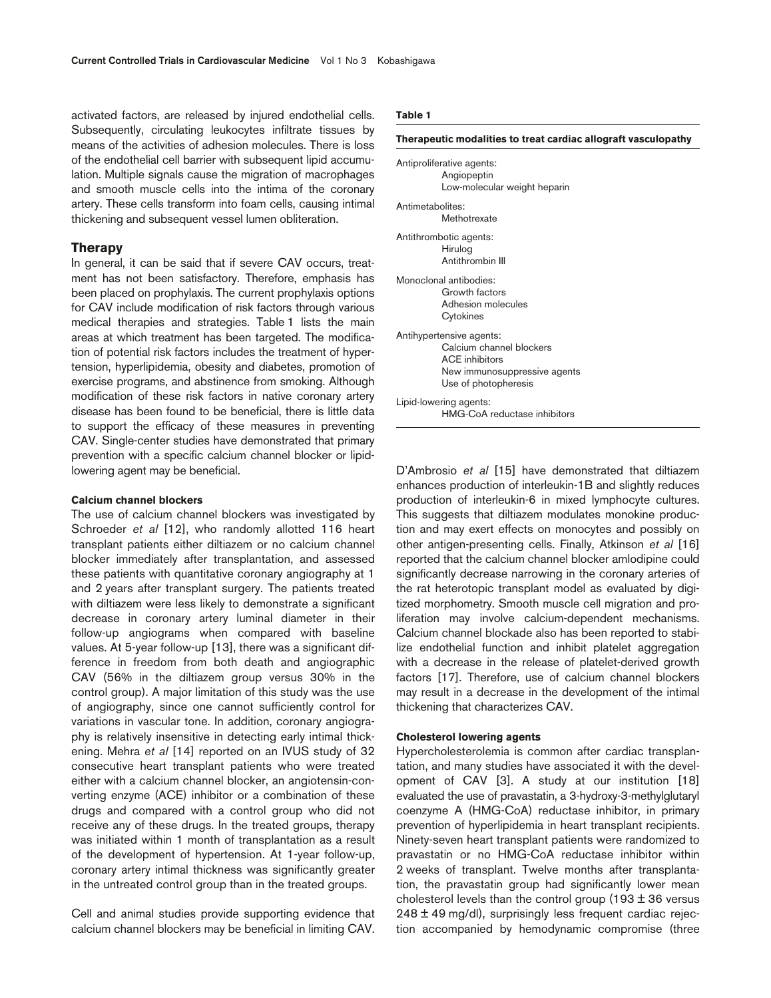activated factors, are released by injured endothelial cells. Subsequently, circulating leukocytes infiltrate tissues by means of the activities of adhesion molecules. There is loss of the endothelial cell barrier with subsequent lipid accumulation. Multiple signals cause the migration of macrophages and smooth muscle cells into the intima of the coronary artery. These cells transform into foam cells, causing intimal thickening and subsequent vessel lumen obliteration.

#### **Therapy**

In general, it can be said that if severe CAV occurs, treatment has not been satisfactory. Therefore, emphasis has been placed on prophylaxis. The current prophylaxis options for CAV include modification of risk factors through various medical therapies and strategies. Table 1 lists the main areas at which treatment has been targeted. The modification of potential risk factors includes the treatment of hypertension, hyperlipidemia, obesity and diabetes, promotion of exercise programs, and abstinence from smoking. Although modification of these risk factors in native coronary artery disease has been found to be beneficial, there is little data to support the efficacy of these measures in preventing CAV. Single-center studies have demonstrated that primary prevention with a specific calcium channel blocker or lipidlowering agent may be beneficial.

#### **Calcium channel blockers**

The use of calcium channel blockers was investigated by Schroeder *et al* [12], who randomly allotted 116 heart transplant patients either diltiazem or no calcium channel blocker immediately after transplantation, and assessed these patients with quantitative coronary angiography at 1 and 2 years after transplant surgery. The patients treated with diltiazem were less likely to demonstrate a significant decrease in coronary artery luminal diameter in their follow-up angiograms when compared with baseline values. At 5-year follow-up [13], there was a significant difference in freedom from both death and angiographic CAV (56% in the diltiazem group versus 30% in the control group). A major limitation of this study was the use of angiography, since one cannot sufficiently control for variations in vascular tone. In addition, coronary angiography is relatively insensitive in detecting early intimal thickening. Mehra *et al* [14] reported on an IVUS study of 32 consecutive heart transplant patients who were treated either with a calcium channel blocker, an angiotensin-converting enzyme (ACE) inhibitor or a combination of these drugs and compared with a control group who did not receive any of these drugs. In the treated groups, therapy was initiated within 1 month of transplantation as a result of the development of hypertension. At 1-year follow-up, coronary artery intimal thickness was significantly greater in the untreated control group than in the treated groups.

Cell and animal studies provide supporting evidence that calcium channel blockers may be beneficial in limiting CAV.

#### **Table 1**

#### **Therapeutic modalities to treat cardiac allograft vasculopathy**

| Antiproliferative agents:<br>Angiopeptin<br>Low-molecular weight heparin                                                              |
|---------------------------------------------------------------------------------------------------------------------------------------|
| Antimetabolites:<br>Methotrexate                                                                                                      |
| Antithrombotic agents:<br>Hirulog<br>Antithrombin III                                                                                 |
| Monoclonal antibodies:<br>Growth factors<br>Adhesion molecules<br>Cytokines                                                           |
| Antihypertensive agents:<br>Calcium channel blockers<br><b>ACE</b> inhibitors<br>New immunosuppressive agents<br>Use of photopheresis |
| Lipid-lowering agents:<br>HMG-CoA reductase inhibitors                                                                                |

D'Ambrosio *et al* [15] have demonstrated that diltiazem enhances production of interleukin-1B and slightly reduces production of interleukin-6 in mixed lymphocyte cultures. This suggests that diltiazem modulates monokine production and may exert effects on monocytes and possibly on other antigen-presenting cells. Finally, Atkinson *et al* [16] reported that the calcium channel blocker amlodipine could significantly decrease narrowing in the coronary arteries of the rat heterotopic transplant model as evaluated by digitized morphometry. Smooth muscle cell migration and proliferation may involve calcium-dependent mechanisms. Calcium channel blockade also has been reported to stabilize endothelial function and inhibit platelet aggregation with a decrease in the release of platelet-derived growth factors [17]. Therefore, use of calcium channel blockers may result in a decrease in the development of the intimal thickening that characterizes CAV.

#### **Cholesterol lowering agents**

Hypercholesterolemia is common after cardiac transplantation, and many studies have associated it with the development of CAV [3]. A study at our institution [18] evaluated the use of pravastatin, a 3-hydroxy-3-methylglutaryl coenzyme A (HMG-CoA) reductase inhibitor, in primary prevention of hyperlipidemia in heart transplant recipients. Ninety-seven heart transplant patients were randomized to pravastatin or no HMG-CoA reductase inhibitor within 2 weeks of transplant. Twelve months after transplantation, the pravastatin group had significantly lower mean cholesterol levels than the control group (193  $\pm$  36 versus 248 ± 49 mg/dl), surprisingly less frequent cardiac rejection accompanied by hemodynamic compromise (three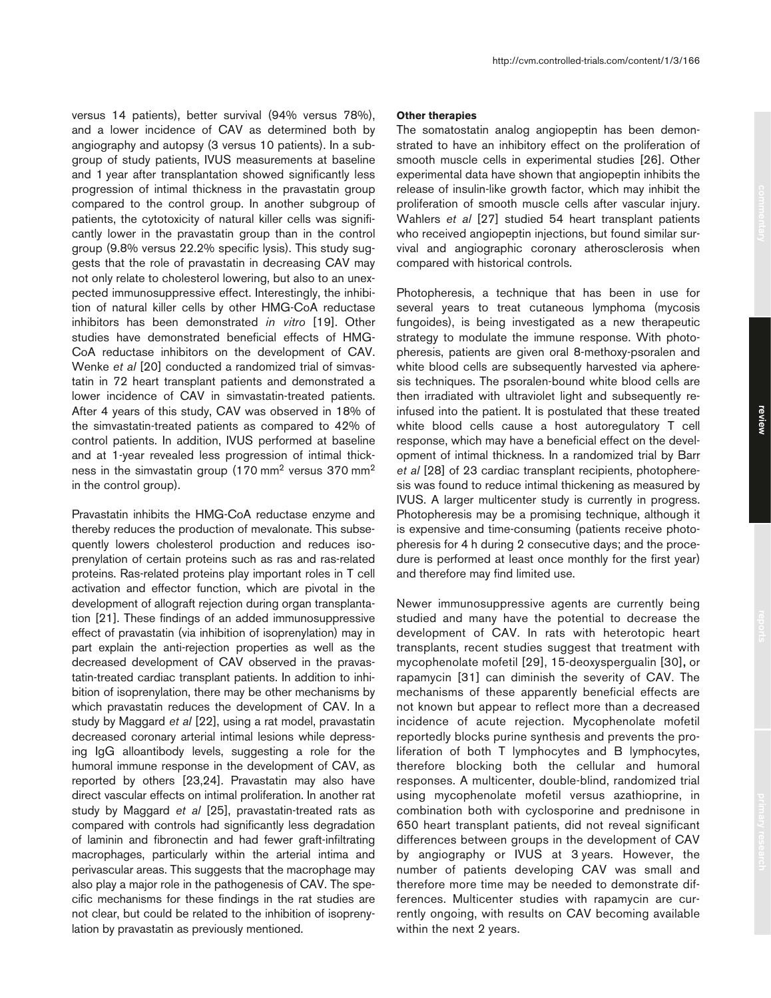versus 14 patients), better survival (94% versus 78%), and a lower incidence of CAV as determined both by angiography and autopsy (3 versus 10 patients). In a subgroup of study patients, IVUS measurements at baseline and 1 year after transplantation showed significantly less progression of intimal thickness in the pravastatin group compared to the control group. In another subgroup of patients, the cytotoxicity of natural killer cells was significantly lower in the pravastatin group than in the control group (9.8% versus 22.2% specific lysis). This study suggests that the role of pravastatin in decreasing CAV may not only relate to cholesterol lowering, but also to an unexpected immunosuppressive effect. Interestingly, the inhibition of natural killer cells by other HMG-CoA reductase inhibitors has been demonstrated *in vitro* [19]. Other studies have demonstrated beneficial effects of HMG-CoA reductase inhibitors on the development of CAV. Wenke *et al* [20] conducted a randomized trial of simvastatin in 72 heart transplant patients and demonstrated a lower incidence of CAV in simvastatin-treated patients. After 4 years of this study, CAV was observed in 18% of the simvastatin-treated patients as compared to 42% of control patients. In addition, IVUS performed at baseline and at 1-year revealed less progression of intimal thickness in the simvastatin group (170 mm<sup>2</sup> versus 370 mm<sup>2</sup> in the control group).

Pravastatin inhibits the HMG-CoA reductase enzyme and thereby reduces the production of mevalonate. This subsequently lowers cholesterol production and reduces isoprenylation of certain proteins such as ras and ras-related proteins. Ras-related proteins play important roles in T cell activation and effector function, which are pivotal in the development of allograft rejection during organ transplantation [21]. These findings of an added immunosuppressive effect of pravastatin (via inhibition of isoprenylation) may in part explain the anti-rejection properties as well as the decreased development of CAV observed in the pravastatin-treated cardiac transplant patients. In addition to inhibition of isoprenylation, there may be other mechanisms by which pravastatin reduces the development of CAV. In a study by Maggard *et al* [22], using a rat model, pravastatin decreased coronary arterial intimal lesions while depressing IgG alloantibody levels, suggesting a role for the humoral immune response in the development of CAV, as reported by others [23,24]. Pravastatin may also have direct vascular effects on intimal proliferation. In another rat study by Maggard *et al* [25], pravastatin-treated rats as compared with controls had significantly less degradation of laminin and fibronectin and had fewer graft-infiltrating macrophages, particularly within the arterial intima and perivascular areas. This suggests that the macrophage may also play a major role in the pathogenesis of CAV. The specific mechanisms for these findings in the rat studies are not clear, but could be related to the inhibition of isoprenylation by pravastatin as previously mentioned.

#### **Other therapies**

The somatostatin analog angiopeptin has been demonstrated to have an inhibitory effect on the proliferation of smooth muscle cells in experimental studies [26]. Other experimental data have shown that angiopeptin inhibits the release of insulin-like growth factor, which may inhibit the proliferation of smooth muscle cells after vascular injury. Wahlers *et al* [27] studied 54 heart transplant patients who received angiopeptin injections, but found similar survival and angiographic coronary atherosclerosis when compared with historical controls.

Photopheresis, a technique that has been in use for several years to treat cutaneous lymphoma (mycosis fungoides), is being investigated as a new therapeutic strategy to modulate the immune response. With photopheresis, patients are given oral 8-methoxy-psoralen and white blood cells are subsequently harvested via apheresis techniques. The psoralen-bound white blood cells are then irradiated with ultraviolet light and subsequently reinfused into the patient. It is postulated that these treated white blood cells cause a host autoregulatory T cell response, which may have a beneficial effect on the development of intimal thickness. In a randomized trial by Barr *et al* [28] of 23 cardiac transplant recipients, photopheresis was found to reduce intimal thickening as measured by IVUS. A larger multicenter study is currently in progress. Photopheresis may be a promising technique, although it is expensive and time-consuming (patients receive photopheresis for 4 h during 2 consecutive days; and the procedure is performed at least once monthly for the first year) and therefore may find limited use.

Newer immunosuppressive agents are currently being studied and many have the potential to decrease the development of CAV. In rats with heterotopic heart transplants, recent studies suggest that treatment with mycophenolate mofetil [29], 15-deoxyspergualin [30]**,** or rapamycin [31] can diminish the severity of CAV. The mechanisms of these apparently beneficial effects are not known but appear to reflect more than a decreased incidence of acute rejection. Mycophenolate mofetil reportedly blocks purine synthesis and prevents the proliferation of both T lymphocytes and B lymphocytes, therefore blocking both the cellular and humoral responses. A multicenter, double-blind, randomized trial using mycophenolate mofetil versus azathioprine, in combination both with cyclosporine and prednisone in 650 heart transplant patients, did not reveal significant differences between groups in the development of CAV by angiography or IVUS at 3 years. However, the number of patients developing CAV was small and therefore more time may be needed to demonstrate differences. Multicenter studies with rapamycin are currently ongoing, with results on CAV becoming available within the next 2 years.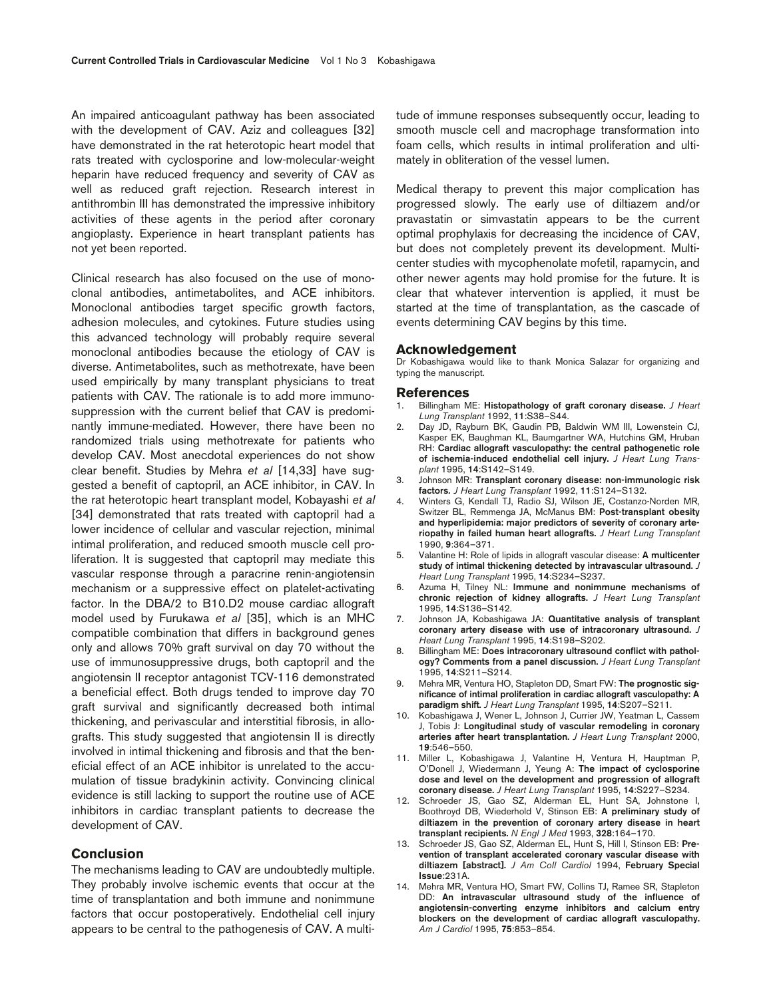An impaired anticoagulant pathway has been associated with the development of CAV. Aziz and colleagues [32] have demonstrated in the rat heterotopic heart model that rats treated with cyclosporine and low-molecular-weight heparin have reduced frequency and severity of CAV as well as reduced graft rejection. Research interest in antithrombin III has demonstrated the impressive inhibitory activities of these agents in the period after coronary angioplasty. Experience in heart transplant patients has not yet been reported.

Clinical research has also focused on the use of monoclonal antibodies, antimetabolites, and ACE inhibitors. Monoclonal antibodies target specific growth factors, adhesion molecules, and cytokines. Future studies using this advanced technology will probably require several monoclonal antibodies because the etiology of CAV is diverse. Antimetabolites, such as methotrexate, have been used empirically by many transplant physicians to treat patients with CAV. The rationale is to add more immunosuppression with the current belief that CAV is predominantly immune-mediated. However, there have been no randomized trials using methotrexate for patients who develop CAV. Most anecdotal experiences do not show clear benefit. Studies by Mehra *et al* [14,33] have suggested a benefit of captopril, an ACE inhibitor, in CAV. In the rat heterotopic heart transplant model, Kobayashi *et al* [34] demonstrated that rats treated with captopril had a lower incidence of cellular and vascular rejection, minimal intimal proliferation, and reduced smooth muscle cell proliferation. It is suggested that captopril may mediate this vascular response through a paracrine renin-angiotensin mechanism or a suppressive effect on platelet-activating factor. In the DBA/2 to B10.D2 mouse cardiac allograft model used by Furukawa *et al* [35], which is an MHC compatible combination that differs in background genes only and allows 70% graft survival on day 70 without the use of immunosuppressive drugs, both captopril and the angiotensin II receptor antagonist TCV-116 demonstrated a beneficial effect. Both drugs tended to improve day 70 graft survival and significantly decreased both intimal thickening, and perivascular and interstitial fibrosis, in allografts. This study suggested that angiotensin II is directly involved in intimal thickening and fibrosis and that the beneficial effect of an ACE inhibitor is unrelated to the accumulation of tissue bradykinin activity. Convincing clinical evidence is still lacking to support the routine use of ACE inhibitors in cardiac transplant patients to decrease the development of CAV.

#### **Conclusion**

The mechanisms leading to CAV are undoubtedly multiple. They probably involve ischemic events that occur at the time of transplantation and both immune and nonimmune factors that occur postoperatively. Endothelial cell injury appears to be central to the pathogenesis of CAV. A multitude of immune responses subsequently occur, leading to smooth muscle cell and macrophage transformation into foam cells, which results in intimal proliferation and ultimately in obliteration of the vessel lumen.

Medical therapy to prevent this major complication has progressed slowly. The early use of diltiazem and/or pravastatin or simvastatin appears to be the current optimal prophylaxis for decreasing the incidence of CAV, but does not completely prevent its development. Multicenter studies with mycophenolate mofetil, rapamycin, and other newer agents may hold promise for the future. It is clear that whatever intervention is applied, it must be started at the time of transplantation, as the cascade of events determining CAV begins by this time.

#### **Acknowledgement**

Dr Kobashigawa would like to thank Monica Salazar for organizing and typing the manuscript.

#### **References**

- 1. Billingham ME: **Histopathology of graft coronary disease.** *J Heart Lung Transplant* 1992, **11**:S38–S44.
- 2. Day JD, Rayburn BK, Gaudin PB, Baldwin WM III, Lowenstein CJ, Kasper EK, Baughman KL, Baumgartner WA, Hutchins GM, Hruban RH: **Cardiac allograft vasculopathy: the central pathogenetic role of ischemia-induced endothelial cell injury.** *J Heart Lung Transplant* 1995, **14**:S142–S149.
- 3. Johnson MR: **Transplant coronary disease: non-immunologic risk factors***. J Heart Lung Transplant* 1992, **11**:S124–S132.
- 4. Winters G, Kendall TJ, Radio SJ, Wilson JE, Costanzo-Norden MR, Switzer BL, Remmenga JA, McManus BM: **Post-transplant obesity and hyperlipidemia: major predictors of severity of coronary arteriopathy in failed human heart allografts.** *J Heart Lung Transplant* 1990, **9**:364–371.
- 5. Valantine H: Role of lipids in allograft vascular disease: **A multicenter study of intimal thickening detected by intravascular ultrasound.** *J Heart Lung Transplant* 1995, **14**:S234–S237.
- 6. Azuma H, Tilney NL: **Immune and nonimmune mechanisms of chronic rejection of kidney allografts.** *J Heart Lung Transplant* 1995, **14**:S136–S142.
- 7. Johnson JA, Kobashigawa JA: **Quantitative analysis of transplant coronary artery disease with use of intracoronary ultrasound.** *J Heart Lung Transplant* 1995, **14**:S198–S202.
- 8. Billingham ME: **Does intracoronary ultrasound conflict with pathology? Comments from a panel discussion.** *J Heart Lung Transplant* 1995, **14**:S211–S214.
- 9. Mehra MR, Ventura HO, Stapleton DD, Smart FW: **The prognostic significance of intimal proliferation in cardiac allograft vasculopathy: A paradigm shift.** *J Heart Lung Transplant* 1995, **14**:S207–S211.
- 10. Kobashigawa J, Wener L, Johnson J, Currier JW, Yeatman L, Cassem J, Tobis J: **Longitudinal study of vascular remodeling in coronary arteries after heart transplantation.** *J Heart Lung Transplant* 2000, **19**:546–550.
- 11. Miller L, Kobashigawa J, Valantine H, Ventura H, Hauptman P, O'Donell J, Wiedermann J, Yeung A: **The impact of cyclosporine dose and level on the development and progression of allograft coronary disease.** *J Heart Lung Transplant* 1995, **14**:S227–S234.
- 12. Schroeder JS, Gao SZ, Alderman EL, Hunt SA, Johnstone I, Boothroyd DB, Wiederhold V, Stinson EB: **A preliminary study of diltiazem in the prevention of coronary artery disease in heart transplant recipients.** *N Engl J Med* 1993, **328**:164–170.
- 13. Schroeder JS, Gao SZ, Alderman EL, Hunt S, Hill I, Stinson EB: **Prevention of transplant accelerated coronary vascular disease with diltiazem [abstract].** *J Am Coll Cardiol* 1994, **February Special Issue**:231A.
- 14. Mehra MR, Ventura HO, Smart FW, Collins TJ, Ramee SR, Stapleton DD: **An intravascular ultrasound study of the influence of angiotensin-converting enzyme inhibitors and calcium entry blockers on the development of cardiac allograft vasculopathy.** *Am J Cardiol* 1995, **75**:853–854.